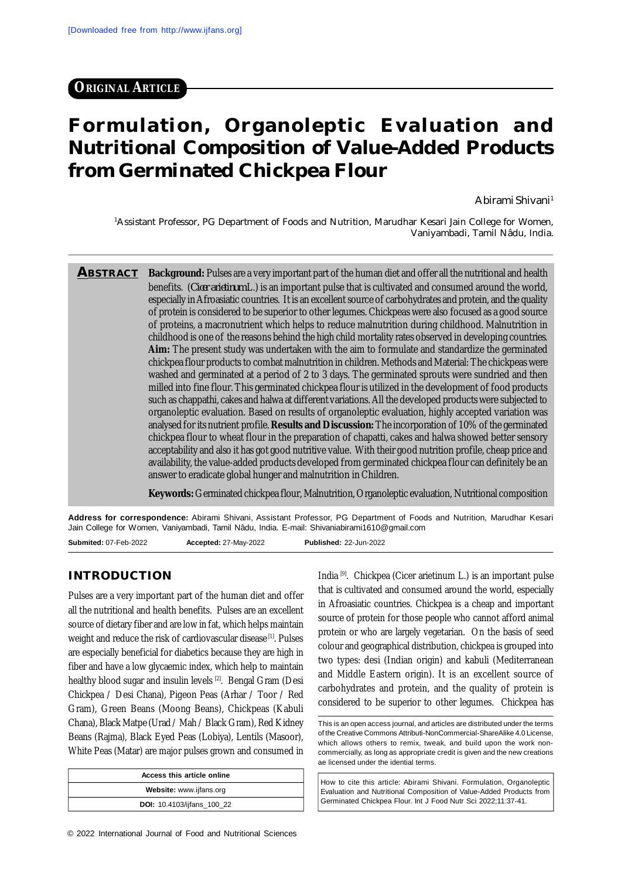## **ORIGINAL ARTICLE**

# **Formulation, Organoleptic Evaluation and Nutritional Composition of Value-Added Products from Germinated Chickpea Flour**

Abirami Shivani<sup>1</sup>

<sup>1</sup>Assistant Professor, PG Department of Foods and Nutrition, Marudhar Kesari Jain College for Women, Vaniyambadi, Tamil Nâdu, India.

**ABSTRACT Background:** Pulses are a very important part of the human diet and offer all the nutritional and health benefits. (*Cicer arietinum* L.) is an important pulse that is cultivated and consumed around the world, especially in Afroasiatic countries. It is an excellent source of carbohydrates and protein, and the quality of protein is considered to be superior to other legumes. Chickpeas were also focused as a good source of proteins, a macronutrient which helps to reduce malnutrition during childhood. Malnutrition in childhood is one of the reasons behind the high child mortality rates observed in developing countries. **Aim:** The present study was undertaken with the aim to formulate and standardize the germinated chickpea flour products to combat malnutrition in children. Methods and Material: The chickpeas were washed and germinated at a period of 2 to 3 days. The germinated sprouts were sundried and then milled into fine flour. This germinated chickpea flour is utilized in the development of food products such as chappathi, cakes and halwa at different variations. All the developed products were subjected to organoleptic evaluation. Based on results of organoleptic evaluation, highly accepted variation was analysed for its nutrient profile. **Results and Discussion:** The incorporation of 10% of the germinated chickpea flour to wheat flour in the preparation of chapatti, cakes and halwa showed better sensory acceptability and also it has got good nutritive value. With their good nutrition profile, cheap price and availability, the value-added products developed from germinated chickpea flour can definitely be an answer to eradicate global hunger and malnutrition in Children.

**Keywords:** Germinated chickpea flour, Malnutrition, Organoleptic evaluation, Nutritional composition

**Address for correspondence:** Abirami Shivani, Assistant Professor, PG Department of Foods and Nutrition, Marudhar Kesari Jain College for Women, Vaniyambadi, Tamil Nâdu, India. E-mail: [Shivaniabirami1610@gmail.com](mailto:Shivaniabirami1610@gmail.com) **Submited:** 07-Feb-2022 **Accepted:** 27-May-2022 **Published:** 22-Jun-2022

#### **INTRODUCTION**

Pulses are a very important part of the human diet and offer all the nutritional and health benefits. Pulses are an excellent source of dietary fiber and are low in fat, which helps maintain weight and reduce the risk of cardiovascular disease [1]. Pulses are especially beneficial for diabetics because they are high in fiber and have a low glycaemic index, which help to maintain healthy blood sugar and insulin levels [2]. Bengal Gram (Desi Chickpea / Desi Chana), Pigeon Peas (Arhar / Toor / Red Gram), Green Beans (Moong Beans), Chickpeas (Kabuli Chana), Black Matpe (Urad / Mah / Black Gram), Red Kidney Beans (Rajma), Black Eyed Peas (Lobiya), Lentils (Masoor), White Peas (Matar) are major pulses grown and consumed in

| Access this article online        |
|-----------------------------------|
| Website: www.ijfans.org           |
| <b>DOI:</b> 10.4103/ijfans 100 22 |

© 2022 International Journal of Food and Nutritional Sciences

India [9]. Chickpea (Cicer arietinum L.) is an important pulse that is cultivated and consumed around the world, especially in Afroasiatic countries. Chickpea is a cheap and important source of protein for those people who cannot afford animal protein or who are largely vegetarian. On the basis of seed colour and geographical distribution, chickpea is grouped into two types: desi (Indian origin) and kabuli (Mediterranean and Middle Eastern origin). It is an excellent source of carbohydrates and protein, and the quality of protein is considered to be superior to other legumes. Chickpea has

This is an open access journal, and articles are distributed under the terms of the Creative Commons Attributi-NonCommercial-ShareAlike 4.0 License, which allows others to remix, tweak, and build upon the work noncommercially, as long as appropriate credit is given and the new creations ae licensed under the idential terms.

How to cite this article: Abirami Shivani. Formulation, Organoleptic Evaluation and Nutritional Composition of Value-Added Products from Germinated Chickpea Flour. Int J Food Nutr Sci 2022;11:37-41.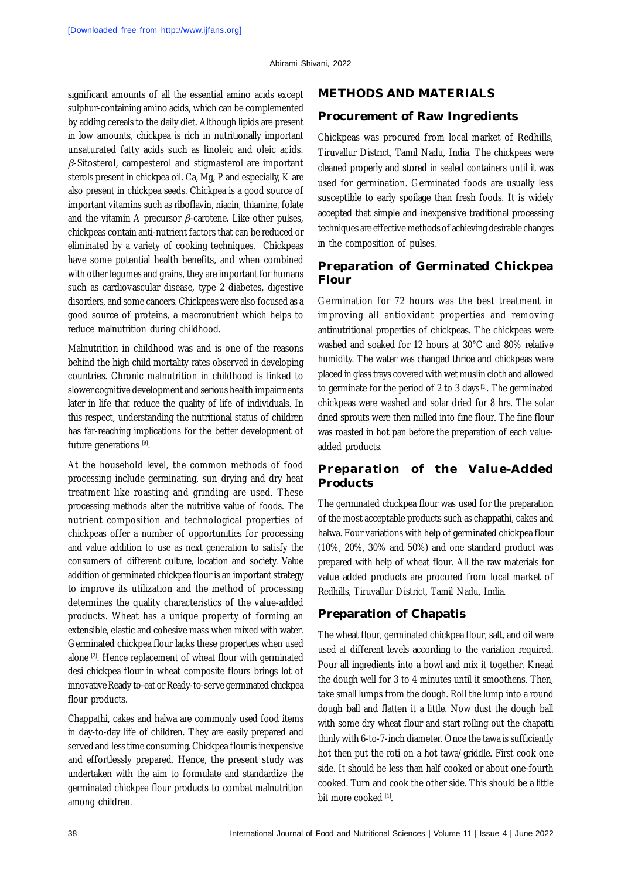significant amounts of all the essential amino acids except sulphur-containing amino acids, which can be complemented by adding cereals to the daily diet. Although lipids are present in low amounts, chickpea is rich in nutritionally important unsaturated fatty acids such as linoleic and oleic acids.  $\beta$ -Sitosterol, campesterol and stigmasterol are important sterols present in chickpea oil. Ca, Mg, P and especially, K are also present in chickpea seeds. Chickpea is a good source of important vitamins such as riboflavin, niacin, thiamine, folate and the vitamin A precursor  $\beta$ -carotene. Like other pulses, chickpeas contain anti-nutrient factors that can be reduced or eliminated by a variety of cooking techniques. Chickpeas have some potential health benefits, and when combined with other legumes and grains, they are important for humans such as cardiovascular disease, type 2 diabetes, digestive disorders, and some cancers. Chickpeas were also focused as a good source of proteins, a macronutrient which helps to reduce malnutrition during childhood.

Malnutrition in childhood was and is one of the reasons behind the high child mortality rates observed in developing countries. Chronic malnutrition in childhood is linked to slower cognitive development and serious health impairments later in life that reduce the quality of life of individuals. In this respect, understanding the nutritional status of children has far-reaching implications for the better development of future generations [9].

At the household level, the common methods of food processing include germinating, sun drying and dry heat treatment like roasting and grinding are used. These processing methods alter the nutritive value of foods. The nutrient composition and technological properties of chickpeas offer a number of opportunities for processing and value addition to use as next generation to satisfy the consumers of different culture, location and society. Value addition of germinated chickpea flour is an important strategy to improve its utilization and the method of processing determines the quality characteristics of the value-added products. Wheat has a unique property of forming an extensible, elastic and cohesive mass when mixed with water. Germinated chickpea flour lacks these properties when used alone <sup>[2]</sup>. Hence replacement of wheat flour with germinated desi chickpea flour in wheat composite flours brings lot of innovative Ready to-eat or Ready-to-serve germinated chickpea flour products.

Chappathi, cakes and halwa are commonly used food items in day-to-day life of children. They are easily prepared and served and less time consuming. Chickpea flour is inexpensive and effortlessly prepared. Hence, the present study was undertaken with the aim to formulate and standardize the germinated chickpea flour products to combat malnutrition among children.

#### **METHODS AND MATERIALS**

#### **Procurement of Raw Ingredients**

Chickpeas was procured from local market of Redhills, Tiruvallur District, Tamil Nadu, India. The chickpeas were cleaned properly and stored in sealed containers until it was used for germination. Germinated foods are usually less susceptible to early spoilage than fresh foods. It is widely accepted that simple and inexpensive traditional processing techniques are effective methods of achieving desirable changes in the composition of pulses.

### **Preparation of Germinated Chickpea Flour**

Germination for 72 hours was the best treatment in improving all antioxidant properties and removing antinutritional properties of chickpeas. The chickpeas were washed and soaked for 12 hours at 30°C and 80% relative humidity. The water was changed thrice and chickpeas were placed in glass trays covered with wet muslin cloth and allowed to germinate for the period of 2 to 3 days [2]. The germinated chickpeas were washed and solar dried for 8 hrs. The solar dried sprouts were then milled into fine flour. The fine flour was roasted in hot pan before the preparation of each valueadded products.

### **Preparation of the Value-Added Products**

The germinated chickpea flour was used for the preparation of the most acceptable products such as chappathi, cakes and halwa. Four variations with help of germinated chickpea flour (10%, 20%, 30% and 50%) and one standard product was prepared with help of wheat flour. All the raw materials for value added products are procured from local market of Redhills, Tiruvallur District, Tamil Nadu, India.

#### **Preparation of Chapatis**

The wheat flour, germinated chickpea flour, salt, and oil were used at different levels according to the variation required. Pour all ingredients into a bowl and mix it together. Knead the dough well for 3 to 4 minutes until it smoothens. Then, take small lumps from the dough. Roll the lump into a round dough ball and flatten it a little. Now dust the dough ball with some dry wheat flour and start rolling out the chapatti thinly with 6-to-7-inch diameter. Once the tawa is sufficiently hot then put the roti on a hot tawa/griddle. First cook one side. It should be less than half cooked or about one-fourth cooked. Turn and cook the other side. This should be a little bit more cooked [4].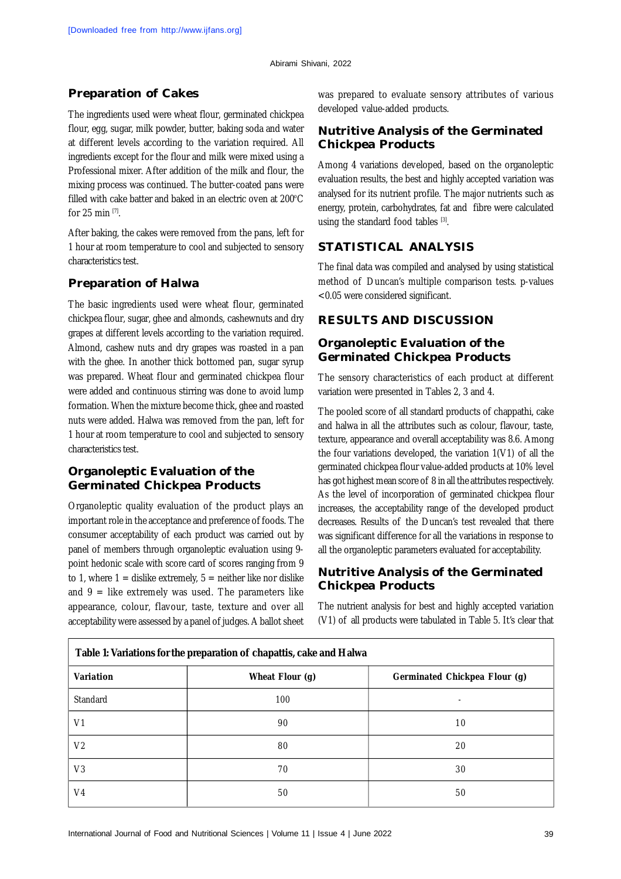### **Preparation of Cakes**

The ingredients used were wheat flour, germinated chickpea flour, egg, sugar, milk powder, butter, baking soda and water at different levels according to the variation required. All ingredients except for the flour and milk were mixed using a Professional mixer. After addition of the milk and flour, the mixing process was continued. The butter-coated pans were filled with cake batter and baked in an electric oven at  $200^{\circ}$ C for 25 min  $[7]$ .

After baking, the cakes were removed from the pans, left for 1 hour at room temperature to cool and subjected to sensory characteristics test.

#### **Preparation of Halwa**

The basic ingredients used were wheat flour, germinated chickpea flour, sugar, ghee and almonds, cashewnuts and dry grapes at different levels according to the variation required. Almond, cashew nuts and dry grapes was roasted in a pan with the ghee. In another thick bottomed pan, sugar syrup was prepared. Wheat flour and germinated chickpea flour were added and continuous stirring was done to avoid lump formation. When the mixture become thick, ghee and roasted nuts were added. Halwa was removed from the pan, left for 1 hour at room temperature to cool and subjected to sensory characteristics test.

### **Organoleptic Evaluation of the Germinated Chickpea Products**

Organoleptic quality evaluation of the product plays an important role in the acceptance and preference of foods. The consumer acceptability of each product was carried out by panel of members through organoleptic evaluation using 9 point hedonic scale with score card of scores ranging from 9 to 1, where  $1 =$  dislike extremely,  $5 =$  neither like nor dislike and  $9$  = like extremely was used. The parameters like appearance, colour, flavour, taste, texture and over all acceptability were assessed by a panel of judges. A ballot sheet

was prepared to evaluate sensory attributes of various developed value-added products.

## **Nutritive Analysis of the Germinated Chickpea Products**

Among 4 variations developed, based on the organoleptic evaluation results, the best and highly accepted variation was analysed for its nutrient profile. The major nutrients such as energy, protein, carbohydrates, fat and fibre were calculated using the standard food tables [3].

## **STATISTICAL ANALYSIS**

The final data was compiled and analysed by using statistical method of Duncan's multiple comparison tests. p-values <0.05 were considered significant.

#### **RESULTS AND DISCUSSION**

#### **Organoleptic Evaluation of the Germinated Chickpea Products**

The sensory characteristics of each product at different variation were presented in Tables 2, 3 and 4.

The pooled score of all standard products of chappathi, cake and halwa in all the attributes such as colour, flavour, taste, texture, appearance and overall acceptability was 8.6. Among the four variations developed, the variation 1(V1) of all the germinated chickpea flour value-added products at 10% level has got highest mean score of 8 in all the attributes respectively. As the level of incorporation of germinated chickpea flour increases, the acceptability range of the developed product decreases. Results of the Duncan's test revealed that there was significant difference for all the variations in response to all the organoleptic parameters evaluated for acceptability.

## **Nutritive Analysis of the Germinated Chickpea Products**

The nutrient analysis for best and highly accepted variation (V1) of all products were tabulated in Table 5. It's clear that

| Table 1: Variations for the preparation of chapattis, cake and Halwa |                                                  |    |  |  |  |  |  |
|----------------------------------------------------------------------|--------------------------------------------------|----|--|--|--|--|--|
| Variation                                                            | Wheat Flour (g)<br>Germinated Chickpea Flour (g) |    |  |  |  |  |  |
| Standard                                                             | 100                                              |    |  |  |  |  |  |
| V <sub>1</sub>                                                       | 90                                               | 10 |  |  |  |  |  |
| V <sub>2</sub>                                                       | 80                                               | 20 |  |  |  |  |  |
| V <sub>3</sub>                                                       | 70                                               | 30 |  |  |  |  |  |
| V <sub>4</sub>                                                       | 50                                               | 50 |  |  |  |  |  |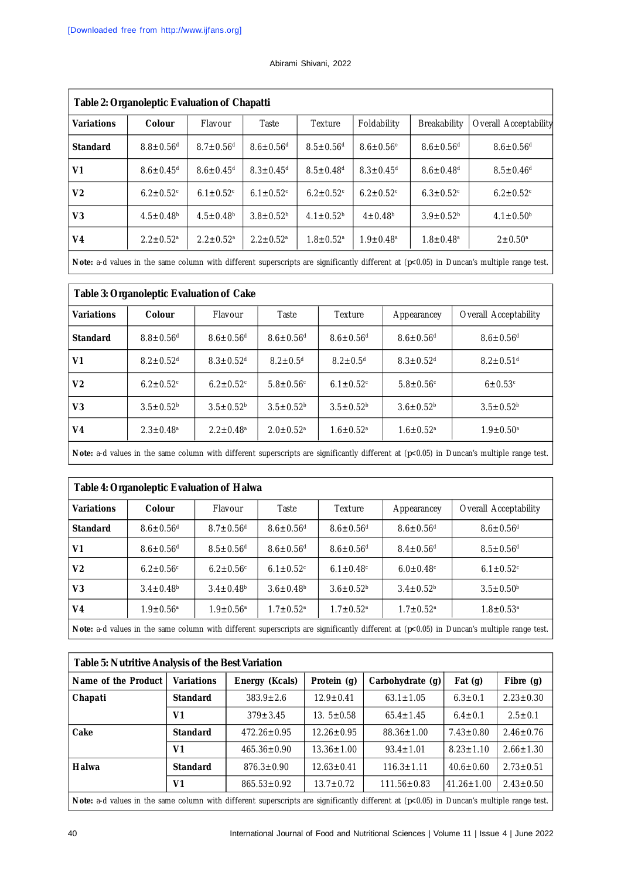#### Abirami Shivani, 2022

| Table 2: Organoleptic Evaluation of Chapatti |                             |                             |                             |                             |                             |                             |                             |  |  |
|----------------------------------------------|-----------------------------|-----------------------------|-----------------------------|-----------------------------|-----------------------------|-----------------------------|-----------------------------|--|--|
| <b>Variations</b>                            | Colour                      | Flavour                     | Taste                       | Texture                     | Foldability                 | <b>Breakability</b>         | Overall Acceptability       |  |  |
| <b>Standard</b>                              | $8.8 \pm 0.56$ <sup>d</sup> | $8.7 \pm 0.56$ <sup>d</sup> | $8.6 \pm 0.56$ <sup>d</sup> | $8.5 \pm 0.56$ <sup>d</sup> | $8.6 \pm 0.56^{\circ}$      | $8.6 \pm 0.56$ <sup>d</sup> | $8.6 \pm 0.56$ <sup>d</sup> |  |  |
| V <sub>1</sub>                               | $8.6 \pm 0.45$ <sup>d</sup> | $8.6 \pm 0.45$ <sup>d</sup> | $8.3 \pm 0.45$ <sup>d</sup> | $8.5 \pm 0.48$ <sup>d</sup> | $8.3 \pm 0.45$ <sup>d</sup> | $8.6 \pm 0.48$ <sup>d</sup> | $8.5 \pm 0.46$ <sup>d</sup> |  |  |
| V <sub>2</sub>                               | $6.2 \pm 0.52$ <sup>c</sup> | $6.1 \pm 0.52$ <sup>c</sup> | $6.1 \pm 0.52$ <sup>c</sup> | $6.2 \pm 0.52$ <sup>c</sup> | $6.2 \pm 0.52$ <sup>c</sup> | $6.3 \pm 0.52$ <sup>c</sup> | $6.2 \pm 0.52$ <sup>c</sup> |  |  |
| V <sub>3</sub>                               | $4.5 \pm 0.48$ <sup>b</sup> | $4.5 \pm 0.48$ <sup>b</sup> | $3.8 \pm 0.52^b$            | $4.1 \pm 0.52^b$            | $4 \pm 0.48^{\rm b}$        | $3.9 \pm 0.52^{\rm b}$      | $4.1 \pm 0.50^{\circ}$      |  |  |
| V <sub>4</sub>                               | $2.2 \pm 0.52$ <sup>a</sup> | $2.2 \pm 0.52$ <sup>a</sup> | $2.2 \pm 0.52$ <sup>a</sup> | $1.8 \pm 0.52$ <sup>a</sup> | $1.9 \pm 0.48$ <sup>a</sup> | $1.8 \pm 0.48$ <sup>a</sup> | $2 \pm 0.50^{\circ}$        |  |  |

**Note:** a-d values in the same column with different superscripts are significantly different at (*p*<0.05) in Duncan's multiple range test.

| Table 3: Organoleptic Evaluation of Cake |                             |                             |                             |                             |                             |                             |  |  |
|------------------------------------------|-----------------------------|-----------------------------|-----------------------------|-----------------------------|-----------------------------|-----------------------------|--|--|
| <b>Variations</b>                        | Colour                      | Flavour                     | Taste                       | Texture                     | Appearancey                 | Overall Acceptability       |  |  |
| <b>Standard</b>                          | $8.8 \pm 0.56$ <sup>d</sup> | $8.6 \pm 0.56$ <sup>d</sup> | $8.6 \pm 0.56$ <sup>d</sup> | $8.6 \pm 0.56$ <sup>d</sup> | $8.6 \pm 0.56$ <sup>d</sup> | $8.6 \pm 0.56$ <sup>d</sup> |  |  |
| V <sub>1</sub>                           | $8.2 \pm 0.52$ <sup>d</sup> | $8.3 \pm 0.52$ <sup>d</sup> | $8.2 + 0.5d$                | $8.2 \pm 0.5$ <sup>d</sup>  | $8.3 \pm 0.52$ <sup>d</sup> | $8.2 \pm 0.51$ <sup>d</sup> |  |  |
| V <sub>2</sub>                           | $6.2 \pm 0.52$ <sup>c</sup> | $6.2 \pm 0.52$ <sup>c</sup> | $5.8 \pm 0.56$ <sup>c</sup> | $6.1 \pm 0.52$ <sup>c</sup> | $5.8 \pm 0.56$ <sup>c</sup> | $6 \pm 0.53$ <sup>c</sup>   |  |  |
| V <sub>3</sub>                           | $3.5 \pm 0.52^b$            | $3.5 \pm 0.52^b$            | $3.5 \pm 0.52^b$            | $3.5 \pm 0.52^b$            | $3.6 \pm 0.52^b$            | $3.5 \pm 0.52^b$            |  |  |
| V4                                       | $2.3 \pm 0.48$ <sup>a</sup> | $2.2 \pm 0.48$ <sup>a</sup> | $2.0 \pm 0.52$ <sup>a</sup> | $1.6 \pm 0.52$ <sup>a</sup> | $1.6 \pm 0.52$ <sup>a</sup> | $1.9 \pm 0.50$ <sup>a</sup> |  |  |
|                                          |                             |                             |                             |                             |                             |                             |  |  |

**Note:** a-d values in the same column with different superscripts are significantly different at (*p*<0.05) in Duncan's multiple range test.

| Table 4: Organoleptic Evaluation of Halwa                                                                                                           |                             |                             |                             |                             |                             |                             |  |  |
|-----------------------------------------------------------------------------------------------------------------------------------------------------|-----------------------------|-----------------------------|-----------------------------|-----------------------------|-----------------------------|-----------------------------|--|--|
| <b>Variations</b>                                                                                                                                   | <b>Colour</b>               | Flavour                     | Taste                       | <b>Texture</b>              | Appearancey                 | Overall Acceptability       |  |  |
| <b>Standard</b>                                                                                                                                     | $8.6 \pm 0.56$ <sup>d</sup> | $8.7 \pm 0.56$ <sup>d</sup> | $8.6 \pm 0.56$ <sup>d</sup> | $8.6 \pm 0.56$ <sup>d</sup> | $8.6 \pm 0.56$ <sup>d</sup> | $8.6 \pm 0.56$ <sup>d</sup> |  |  |
| V <sub>1</sub>                                                                                                                                      | $8.6 \pm 0.56$ <sup>d</sup> | $8.5 \pm 0.56$ <sup>d</sup> | $8.6 \pm 0.56$ <sup>d</sup> | $8.6 \pm 0.56$ <sup>d</sup> | $8.4 \pm 0.56$ <sup>d</sup> | $8.5 \pm 0.56$ <sup>d</sup> |  |  |
| V <sub>2</sub>                                                                                                                                      | $6.2 \pm 0.56$ <sup>c</sup> | $6.2 \pm 0.56$ <sup>c</sup> | $6.1 \pm 0.52$ <sup>c</sup> | $6.1 \pm 0.48$ <sup>c</sup> | $6.0 \pm 0.48$ <sup>c</sup> | $6.1 \pm 0.52$ <sup>c</sup> |  |  |
| V <sub>3</sub>                                                                                                                                      | $3.4 \pm 0.48^b$            | $3.4 \pm 0.48^b$            | $3.6 \pm 0.48^b$            | $3.6 \pm 0.52^b$            | $3.4 \pm 0.52^b$            | $3.5 \pm 0.50^b$            |  |  |
| V <sub>4</sub>                                                                                                                                      | $1.9 \pm 0.56$ <sup>a</sup> | $1.9 \pm 0.56$ <sup>a</sup> | $1.7 \pm 0.52$ <sup>a</sup> | $1.7 \pm 0.52$ <sup>a</sup> | $1.7 \pm 0.52$ <sup>a</sup> | $1.8 \pm 0.53$ <sup>a</sup> |  |  |
| <b>Note:</b> a-d values in the same column with different superscripts are significantly different at ( $p<0.05$ ) in Duncan's multiple range test. |                             |                             |                             |                             |                             |                             |  |  |

| Table 5: Nutritive Analysis of the Best Variation                                                                                                 |                   |                   |                  |                   |                  |                 |  |  |
|---------------------------------------------------------------------------------------------------------------------------------------------------|-------------------|-------------------|------------------|-------------------|------------------|-----------------|--|--|
| Name of the Product                                                                                                                               | <b>Variations</b> | Energy (Kcals)    | Protein (g)      | Carbohydrate (g)  | Fat $(q)$        | Fibre $(q)$     |  |  |
| Chapati                                                                                                                                           | <b>Standard</b>   | $383.9 \pm 2.6$   | $12.9 \pm 0.41$  | $63.1 \pm 1.05$   | $6.3 \pm 0.1$    | $2.23 \pm 0.30$ |  |  |
|                                                                                                                                                   | V1                | $379 \pm 3.45$    | $13.5 \pm 0.58$  | $65.4 \pm 1.45$   | $6.4 \pm 0.1$    | $2.5 \pm 0.1$   |  |  |
| Cake                                                                                                                                              | <b>Standard</b>   | $472.26 \pm 0.95$ | $12.26 \pm 0.95$ | $88.36 \pm 1.00$  | $7.43 \pm 0.80$  | $2.46 \pm 0.76$ |  |  |
|                                                                                                                                                   | V <sub>1</sub>    | $465.36 \pm 0.90$ | $13.36 \pm 1.00$ | $93.4 \pm 1.01$   | $8.23 \pm 1.10$  | $2.66 \pm 1.30$ |  |  |
| Halwa                                                                                                                                             | <b>Standard</b>   | $876.3 \pm 0.90$  | $12.63 \pm 0.41$ | $116.3 \pm 1.11$  | $40.6 \pm 0.60$  | $2.73 \pm 0.51$ |  |  |
|                                                                                                                                                   | V <sub>1</sub>    | $865.53 \pm 0.92$ | $13.7 \pm 0.72$  | $111.56 \pm 0.83$ | $41.26 \pm 1.00$ | $2.43 \pm 0.50$ |  |  |
| <b>Note:</b> a-d values in the same column with different superscripts are significantly different at $(p<0.05)$ in Duncan's multiple range test. |                   |                   |                  |                   |                  |                 |  |  |